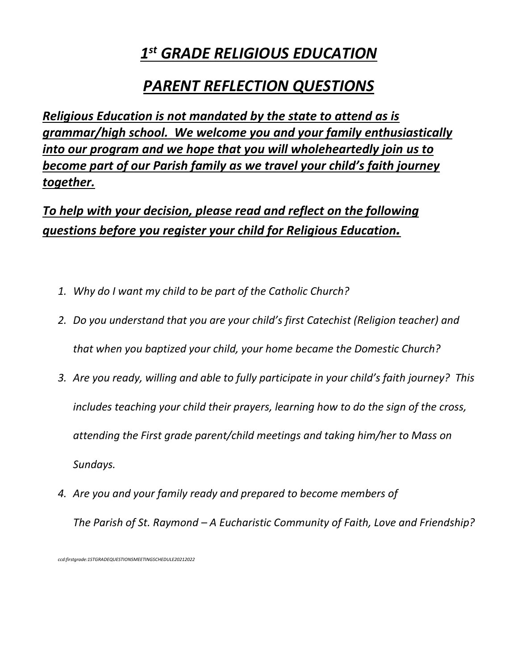## *1 st GRADE RELIGIOUS EDUCATION*

## *PARENT REFLECTION QUESTIONS*

*Religious Education is not mandated by the state to attend as is grammar/high school. We welcome you and your family enthusiastically into our program and we hope that you will wholeheartedly join us to become part of our Parish family as we travel your child's faith journey together.*

*To help with your decision, please read and reflect on the following questions before you register your child for Religious Education.*

- *1. Why do I want my child to be part of the Catholic Church?*
- *2. Do you understand that you are your child's first Catechist (Religion teacher) and that when you baptized your child, your home became the Domestic Church?*
- *3. Are you ready, willing and able to fully participate in your child's faith journey? This includes teaching your child their prayers, learning how to do the sign of the cross, attending the First grade parent/child meetings and taking him/her to Mass on Sundays.*
- *4. Are you and your family ready and prepared to become members of The Parish of St. Raymond – A Eucharistic Community of Faith, Love and Friendship?*

*ccd:firstgrade:1STGRADEQUESTIONSMEETINGSCHEDULE20212022*